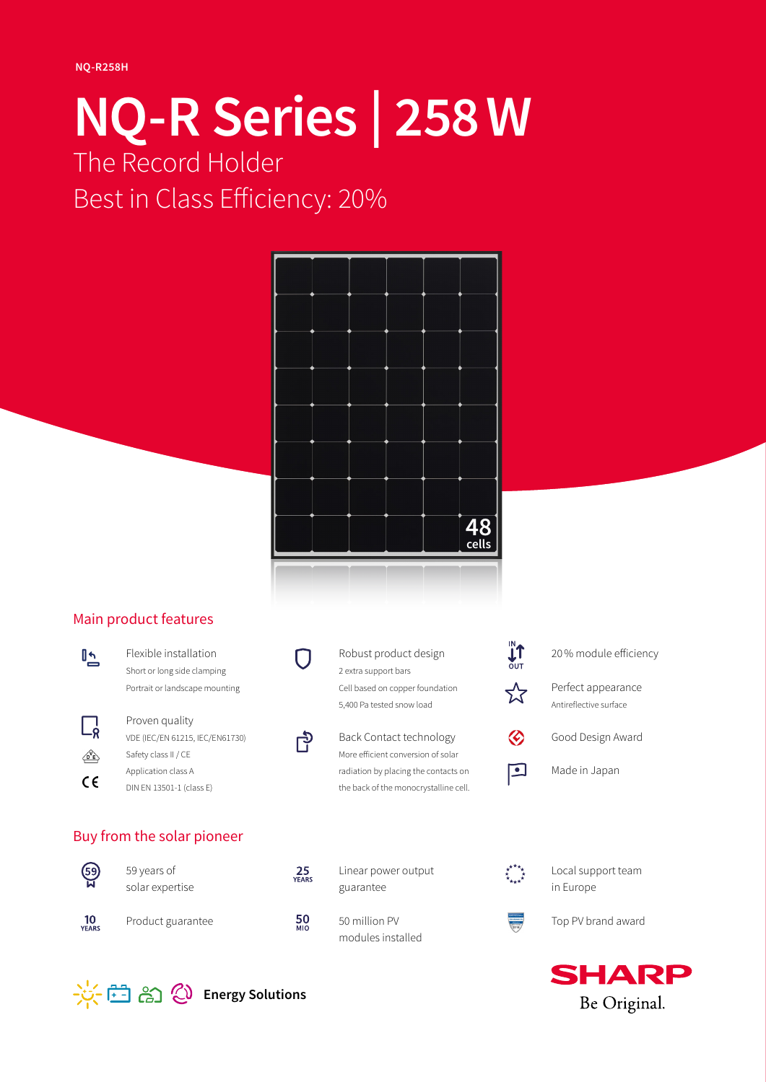# **NQ-R Series | 258W** The Record Holder Best in Class Efficiency: 20%



## Main product features



- Flexible installation Short or long side clamping Portrait or landscape mounting
- Proven quality  $\Box$ VDE (IEC/EN 61215, IEC/EN61730) Safety class II / CE  $\mathbb{Q}_E$ Application class A  $C \in$ DIN EN 13501-1 (class E)

## Buy from the solar pioneer



 $10$ <br>VEARS

59 years of solar expertise Product guarantee



Robust product design 2 extra support bars Cell based on copper foundation 5,400 Pa tested snow load



 $25$ <br>Years

 $\frac{50}{M10}$ 

Back Contact technology More efficient conversion of solar radiation by placing the contacts on the back of the monocrystalline cell.

Linear power output

guarantee

50 million PV modules installed



- 20% module efficiency
- Perfect appearance Antireflective surface



Good Design Award



Made in Japan



Local support team in Europe



Top PV brand award